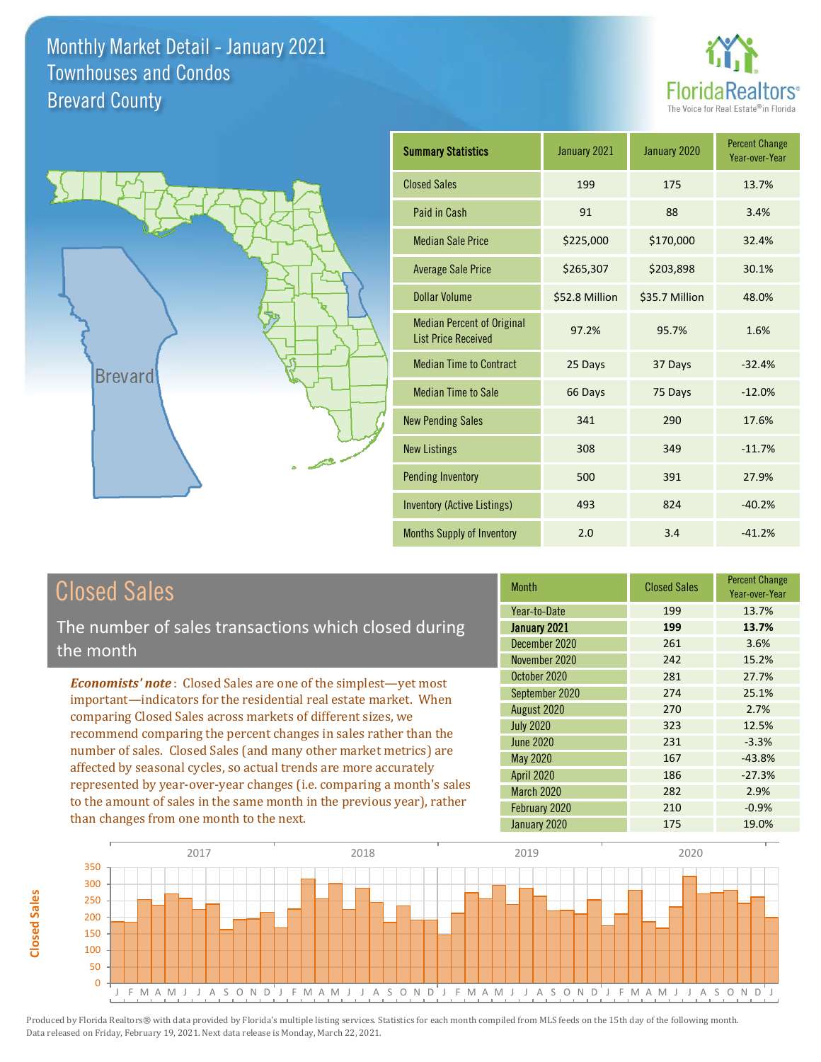



| <b>Summary Statistics</b>                                       | January 2021   | January 2020   | <b>Percent Change</b><br>Year-over-Year |
|-----------------------------------------------------------------|----------------|----------------|-----------------------------------------|
| <b>Closed Sales</b>                                             | 199            | 175            | 13.7%                                   |
| Paid in Cash                                                    | 91             | 88             | 3.4%                                    |
| <b>Median Sale Price</b>                                        | \$225,000      | \$170,000      | 32.4%                                   |
| <b>Average Sale Price</b>                                       | \$265,307      | \$203,898      | 30.1%                                   |
| Dollar Volume                                                   | \$52.8 Million | \$35.7 Million | 48.0%                                   |
| <b>Median Percent of Original</b><br><b>List Price Received</b> | 97.2%          | 95.7%          | 1.6%                                    |
| <b>Median Time to Contract</b>                                  | 25 Days        | 37 Days        | $-32.4%$                                |
| <b>Median Time to Sale</b>                                      | 66 Days        | 75 Days        | $-12.0%$                                |
| <b>New Pending Sales</b>                                        | 341            | 290            | 17.6%                                   |
| <b>New Listings</b>                                             | 308            | 349            | $-11.7%$                                |
| <b>Pending Inventory</b>                                        | 500            | 391            | 27.9%                                   |
| Inventory (Active Listings)                                     | 493            | 824            | $-40.2%$                                |
| <b>Months Supply of Inventory</b>                               | 2.0            | 3.4            | $-41.2%$                                |

# Closed Sales

The number of sales transactions which closed during the month

*Economists' note* : Closed Sales are one of the simplest—yet most important—indicators for the residential real estate market. When comparing Closed Sales across markets of different sizes, we recommend comparing the percent changes in sales rather than the number of sales. Closed Sales (and many other market metrics) are affected by seasonal cycles, so actual trends are more accurately represented by year-over-year changes (i.e. comparing a month's sales to the amount of sales in the same month in the previous year), rather than changes from one month to the next.

| <b>Month</b>      | <b>Closed Sales</b> | <b>Percent Change</b><br>Year-over-Year |
|-------------------|---------------------|-----------------------------------------|
| Year-to-Date      | 199                 | 13.7%                                   |
| January 2021      | 199                 | 13.7%                                   |
| December 2020     | 261                 | 3.6%                                    |
| November 2020     | 242                 | 15.2%                                   |
| October 2020      | 281                 | 27.7%                                   |
| September 2020    | 274                 | 25.1%                                   |
| August 2020       | 270                 | 2.7%                                    |
| <b>July 2020</b>  | 323                 | 12.5%                                   |
| <b>June 2020</b>  | 231                 | $-3.3%$                                 |
| May 2020          | 167                 | $-43.8%$                                |
| <b>April 2020</b> | 186                 | $-27.3%$                                |
| <b>March 2020</b> | 282                 | 2.9%                                    |
| February 2020     | 210                 | $-0.9%$                                 |
| January 2020      | 175                 | 19.0%                                   |

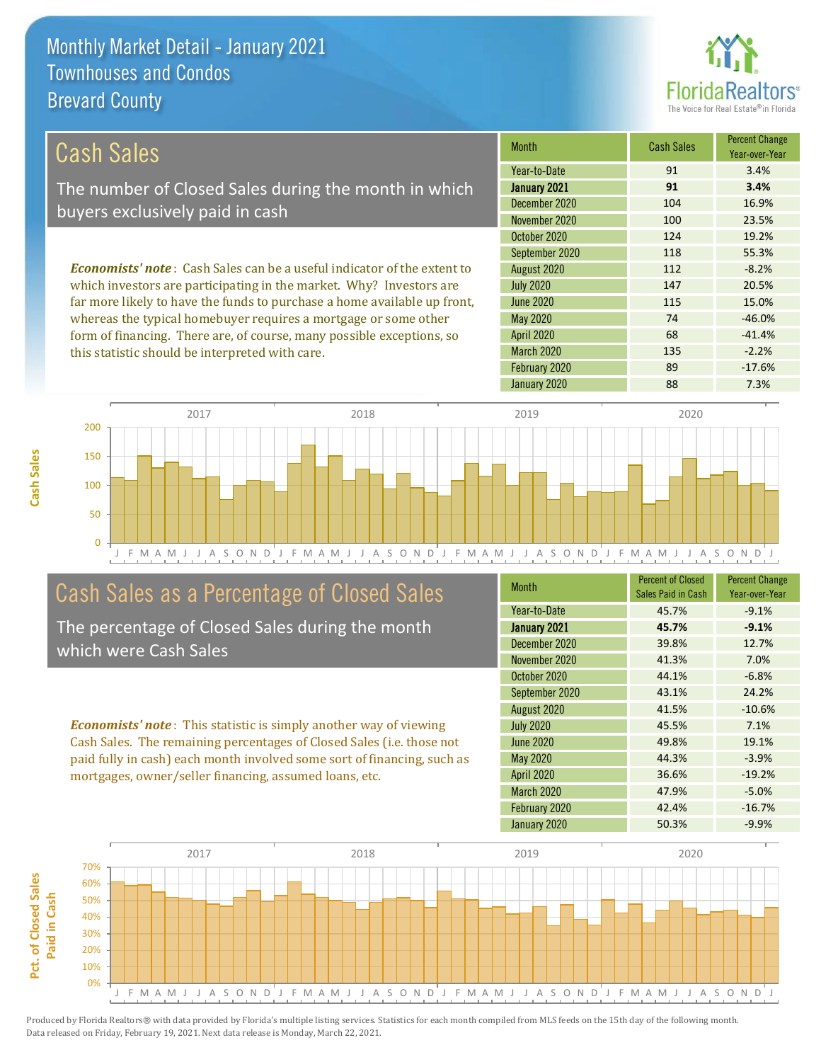this statistic should be interpreted with care.



135 -2.2%

| Cash Sales                                                                     | <b>Month</b>      | <b>Cash Sales</b> | <b>Percent Change</b><br>Year-over-Year |
|--------------------------------------------------------------------------------|-------------------|-------------------|-----------------------------------------|
|                                                                                | Year-to-Date      | 91                | 3.4%                                    |
| The number of Closed Sales during the month in which                           | January 2021      | 91                | 3.4%                                    |
| buyers exclusively paid in cash                                                | December 2020     | 104               | 16.9%                                   |
|                                                                                | November 2020     | 100               | 23.5%                                   |
|                                                                                | October 2020      | 124               | 19.2%                                   |
|                                                                                | September 2020    | 118               | 55.3%                                   |
| <b>Economists' note:</b> Cash Sales can be a useful indicator of the extent to | August 2020       | 112               | $-8.2%$                                 |
| which investors are participating in the market. Why? Investors are            | <b>July 2020</b>  | 147               | 20.5%                                   |
| far more likely to have the funds to purchase a home available up front,       | June 2020         | 115               | 15.0%                                   |
| whereas the typical homebuyer requires a mortgage or some other                | May 2020          | 74                | $-46.0%$                                |
| form of financing. There are, of course, many possible exceptions, so          | <b>April 2020</b> | 68                | $-41.4%$                                |

March 2020



# Cash Sales as a Percentage of Closed Sales

The percentage of Closed Sales during the month which were Cash Sales

*Economists' note* : This statistic is simply another way of viewing Cash Sales. The remaining percentages of Closed Sales (i.e. those not paid fully in cash) each month involved some sort of financing, such as mortgages, owner/seller financing, assumed loans, etc.

| <b>Month</b>      | <b>Percent of Closed</b><br>Sales Paid in Cash | <b>Percent Change</b><br>Year-over-Year |
|-------------------|------------------------------------------------|-----------------------------------------|
| Year-to-Date      | 45.7%                                          | $-9.1%$                                 |
| January 2021      | 45.7%                                          | $-9.1%$                                 |
| December 2020     | 39.8%                                          | 12.7%                                   |
| November 2020     | 41.3%                                          | 7.0%                                    |
| October 2020      | 44.1%                                          | $-6.8%$                                 |
| September 2020    | 43.1%                                          | 24.2%                                   |
| August 2020       | 41.5%                                          | $-10.6%$                                |
| <b>July 2020</b>  | 45.5%                                          | 7.1%                                    |
| <b>June 2020</b>  | 49.8%                                          | 19.1%                                   |
| <b>May 2020</b>   | 44.3%                                          | $-3.9%$                                 |
| <b>April 2020</b> | 36.6%                                          | $-19.2%$                                |
| <b>March 2020</b> | 47.9%                                          | $-5.0%$                                 |
| February 2020     | 42.4%                                          | $-16.7%$                                |
| January 2020      | 50.3%                                          | $-9.9%$                                 |

February 2020 89 -17.6%



Pct. of Closed Sales **Pct. of Closed Sales**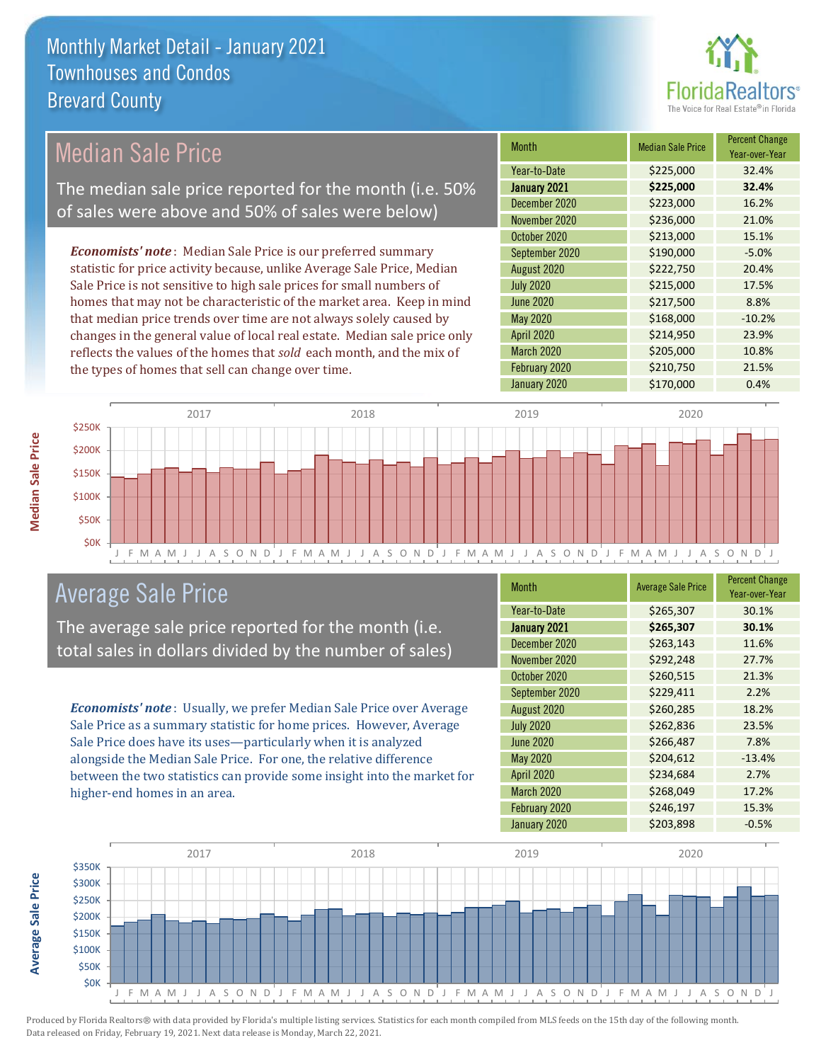

# Median Sale Price

The median sale price reported for the month (i.e. 50% of sales were above and 50% of sales were below)

*Economists' note* : Median Sale Price is our preferred summary statistic for price activity because, unlike Average Sale Price, Median Sale Price is not sensitive to high sale prices for small numbers of homes that may not be characteristic of the market area. Keep in mind that median price trends over time are not always solely caused by changes in the general value of local real estate. Median sale price only reflects the values of the homes that *sold* each month, and the mix of the types of homes that sell can change over time.

| <b>Month</b>     | <b>Median Sale Price</b> | <b>Percent Change</b><br>Year-over-Year |
|------------------|--------------------------|-----------------------------------------|
| Year-to-Date     | \$225,000                | 32.4%                                   |
| January 2021     | \$225,000                | 32.4%                                   |
| December 2020    | \$223,000                | 16.2%                                   |
| November 2020    | \$236,000                | 21.0%                                   |
| October 2020     | \$213,000                | 15.1%                                   |
| September 2020   | \$190,000                | $-5.0%$                                 |
| August 2020      | \$222,750                | 20.4%                                   |
| <b>July 2020</b> | \$215,000                | 17.5%                                   |
| <b>June 2020</b> | \$217,500                | 8.8%                                    |
| May 2020         | \$168,000                | $-10.2%$                                |
| April 2020       | \$214,950                | 23.9%                                   |
| March 2020       | \$205,000                | 10.8%                                   |
| February 2020    | \$210,750                | 21.5%                                   |
| January 2020     | \$170,000                | 0.4%                                    |



#### Average Sale Price

The average sale price reported for the month (i.e. total sales in dollars divided by the number of sales)

*Economists' note* : Usually, we prefer Median Sale Price over Average Sale Price as a summary statistic for home prices. However, Average Sale Price does have its uses—particularly when it is analyzed alongside the Median Sale Price. For one, the relative difference between the two statistics can provide some insight into the market for higher-end homes in an area.

| Month             | <b>Average Sale Price</b> | <b>Percent Change</b><br>Year-over-Year |
|-------------------|---------------------------|-----------------------------------------|
| Year-to-Date      | \$265,307                 | 30.1%                                   |
| January 2021      | \$265,307                 | 30.1%                                   |
| December 2020     | \$263,143                 | 11.6%                                   |
| November 2020     | \$292,248                 | 27.7%                                   |
| October 2020      | \$260,515                 | 21.3%                                   |
| September 2020    | \$229,411                 | 2.2%                                    |
| August 2020       | \$260,285                 | 18.2%                                   |
| <b>July 2020</b>  | \$262,836                 | 23.5%                                   |
| <b>June 2020</b>  | \$266,487                 | 7.8%                                    |
| <b>May 2020</b>   | \$204,612                 | $-13.4%$                                |
| April 2020        | \$234,684                 | 2.7%                                    |
| <b>March 2020</b> | \$268,049                 | 17.2%                                   |
| February 2020     | \$246,197                 | 15.3%                                   |
| January 2020      | \$203,898                 | $-0.5%$                                 |



Produced by Florida Realtors® with data provided by Florida's multiple listing services. Statistics for each month compiled from MLS feeds on the 15th day of the following month. Data released on Friday, February 19, 2021. Next data release is Monday, March 22, 2021.

**Average Sale Price**

**Average Sale Price**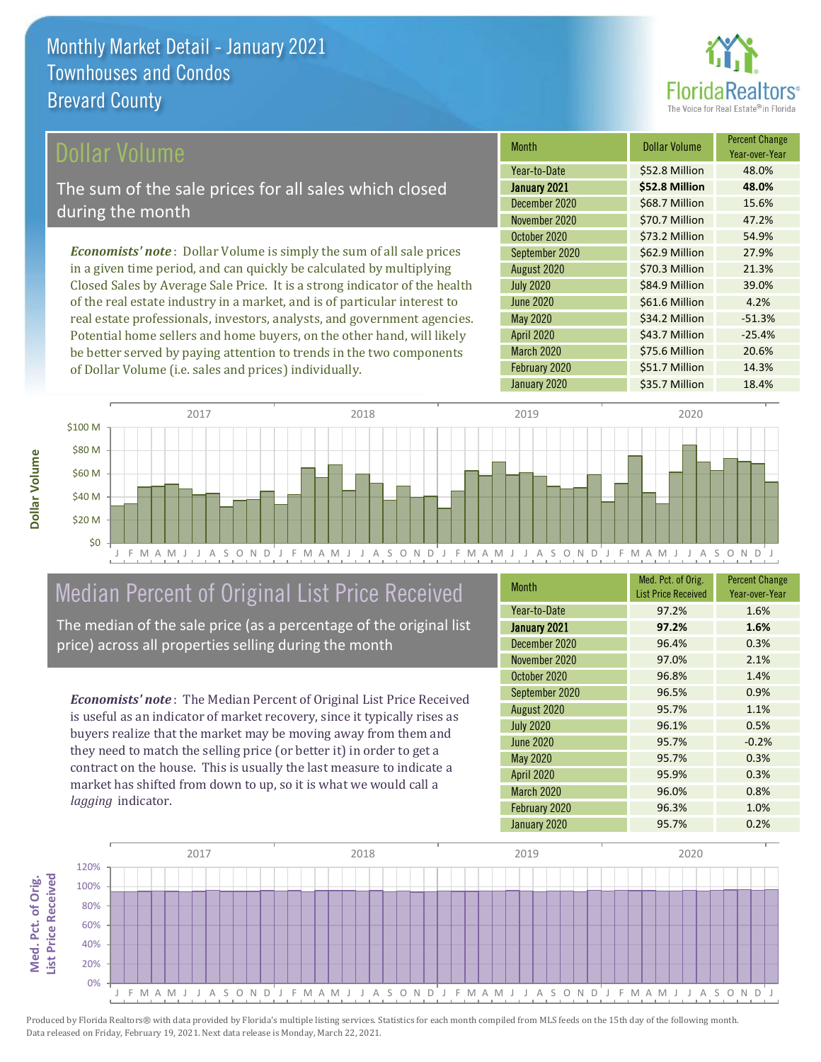

#### ollar Volume

The sum of the sale prices for all sales which closed during the month

*Economists' note* : Dollar Volume is simply the sum of all sale prices in a given time period, and can quickly be calculated by multiplying Closed Sales by Average Sale Price. It is a strong indicator of the health of the real estate industry in a market, and is of particular interest to real estate professionals, investors, analysts, and government agencies. Potential home sellers and home buyers, on the other hand, will likely be better served by paying attention to trends in the two components of Dollar Volume (i.e. sales and prices) individually.

| <b>Month</b>      | <b>Dollar Volume</b> | <b>Percent Change</b><br>Year-over-Year |
|-------------------|----------------------|-----------------------------------------|
| Year-to-Date      | \$52.8 Million       | 48.0%                                   |
| January 2021      | \$52.8 Million       | 48.0%                                   |
| December 2020     | \$68.7 Million       | 15.6%                                   |
| November 2020     | \$70.7 Million       | 47.2%                                   |
| October 2020      | \$73.2 Million       | 54.9%                                   |
| September 2020    | \$62.9 Million       | 27.9%                                   |
| August 2020       | \$70.3 Million       | 21.3%                                   |
| <b>July 2020</b>  | \$84.9 Million       | 39.0%                                   |
| <b>June 2020</b>  | \$61.6 Million       | 4.2%                                    |
| <b>May 2020</b>   | \$34.2 Million       | $-51.3%$                                |
| <b>April 2020</b> | \$43.7 Million       | $-25.4%$                                |
| March 2020        | \$75.6 Million       | 20.6%                                   |
| February 2020     | \$51.7 Million       | 14.3%                                   |
| January 2020      | \$35.7 Million       | 18.4%                                   |



# Median Percent of Original List Price Received

The median of the sale price (as a percentage of the original list price) across all properties selling during the month

*Economists' note* : The Median Percent of Original List Price Received is useful as an indicator of market recovery, since it typically rises as buyers realize that the market may be moving away from them and they need to match the selling price (or better it) in order to get a contract on the house. This is usually the last measure to indicate a market has shifted from down to up, so it is what we would call a *lagging* indicator.

| <b>Month</b>      | Med. Pct. of Orig.<br><b>List Price Received</b> | <b>Percent Change</b><br>Year-over-Year |
|-------------------|--------------------------------------------------|-----------------------------------------|
| Year-to-Date      | 97.2%                                            | 1.6%                                    |
| January 2021      | 97.2%                                            | 1.6%                                    |
| December 2020     | 96.4%                                            | 0.3%                                    |
| November 2020     | 97.0%                                            | 2.1%                                    |
| October 2020      | 96.8%                                            | 1.4%                                    |
| September 2020    | 96.5%                                            | 0.9%                                    |
| August 2020       | 95.7%                                            | 1.1%                                    |
| <b>July 2020</b>  | 96.1%                                            | 0.5%                                    |
| <b>June 2020</b>  | 95.7%                                            | $-0.2%$                                 |
| <b>May 2020</b>   | 95.7%                                            | 0.3%                                    |
| <b>April 2020</b> | 95.9%                                            | 0.3%                                    |
| March 2020        | 96.0%                                            | 0.8%                                    |
| February 2020     | 96.3%                                            | 1.0%                                    |
| January 2020      | 95.7%                                            | 0.2%                                    |

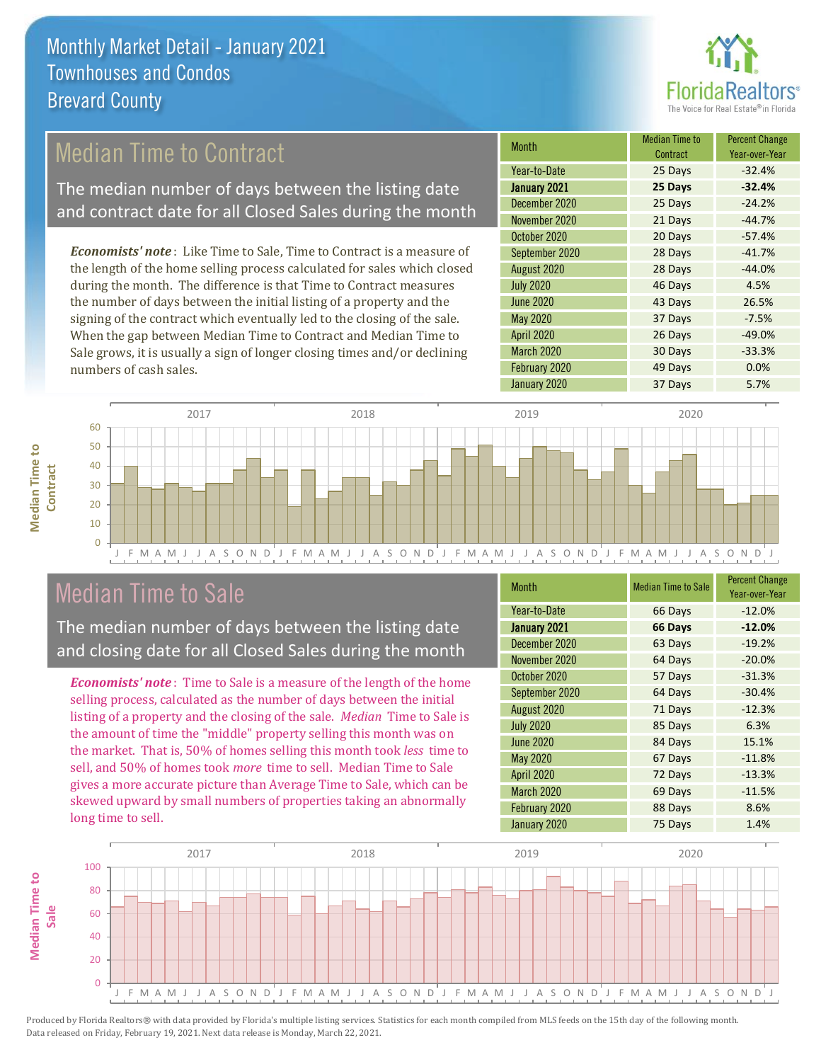

# Median Time to Contract

The median number of days between the listing date and contract date for all Closed Sales during the month

*Economists' note* : Like Time to Sale, Time to Contract is a measure of the length of the home selling process calculated for sales which closed during the month. The difference is that Time to Contract measures the number of days between the initial listing of a property and the signing of the contract which eventually led to the closing of the sale. When the gap between Median Time to Contract and Median Time to Sale grows, it is usually a sign of longer closing times and/or declining numbers of cash sales.

| <b>Month</b>      | <b>Median Time to</b><br>Contract | <b>Percent Change</b><br>Year-over-Year |
|-------------------|-----------------------------------|-----------------------------------------|
| Year-to-Date      | 25 Days                           | $-32.4%$                                |
| January 2021      | 25 Days                           | $-32.4%$                                |
| December 2020     | 25 Days                           | $-24.2%$                                |
| November 2020     | 21 Days                           | $-44.7%$                                |
| October 2020      | 20 Days                           | $-57.4%$                                |
| September 2020    | 28 Days                           | $-41.7%$                                |
| August 2020       | 28 Days                           | $-44.0%$                                |
| <b>July 2020</b>  | 46 Days                           | 4.5%                                    |
| <b>June 2020</b>  | 43 Days                           | 26.5%                                   |
| <b>May 2020</b>   | 37 Days                           | $-7.5%$                                 |
| April 2020        | 26 Days                           | $-49.0%$                                |
| <b>March 2020</b> | 30 Days                           | $-33.3%$                                |
| February 2020     | 49 Days                           | 0.0%                                    |
| January 2020      | 37 Days                           | 5.7%                                    |





### Median Time to Sale

The median number of days between the listing date and closing date for all Closed Sales during the month

*Economists' note* : Time to Sale is a measure of the length of the home selling process, calculated as the number of days between the initial listing of a property and the closing of the sale. *Median* Time to Sale is the amount of time the "middle" property selling this month was on the market. That is, 50% of homes selling this month took *less* time to sell, and 50% of homes took *more* time to sell. Median Time to Sale gives a more accurate picture than Average Time to Sale, which can be skewed upward by small numbers of properties taking an abnormally long time to sell.

| <b>Month</b>      | <b>Median Time to Sale</b> | <b>Percent Change</b><br>Year-over-Year |
|-------------------|----------------------------|-----------------------------------------|
| Year-to-Date      | 66 Days                    | $-12.0%$                                |
| January 2021      | 66 Days                    | $-12.0%$                                |
| December 2020     | 63 Days                    | $-19.2%$                                |
| November 2020     | 64 Days                    | $-20.0%$                                |
| October 2020      | 57 Days                    | $-31.3%$                                |
| September 2020    | 64 Days                    | $-30.4%$                                |
| August 2020       | 71 Days                    | $-12.3%$                                |
| <b>July 2020</b>  | 85 Days                    | 6.3%                                    |
| <b>June 2020</b>  | 84 Days                    | 15.1%                                   |
| <b>May 2020</b>   | 67 Days                    | $-11.8%$                                |
| <b>April 2020</b> | 72 Days                    | $-13.3%$                                |
| March 2020        | 69 Days                    | $-11.5%$                                |
| February 2020     | 88 Days                    | 8.6%                                    |
| January 2020      | 75 Days                    | 1.4%                                    |

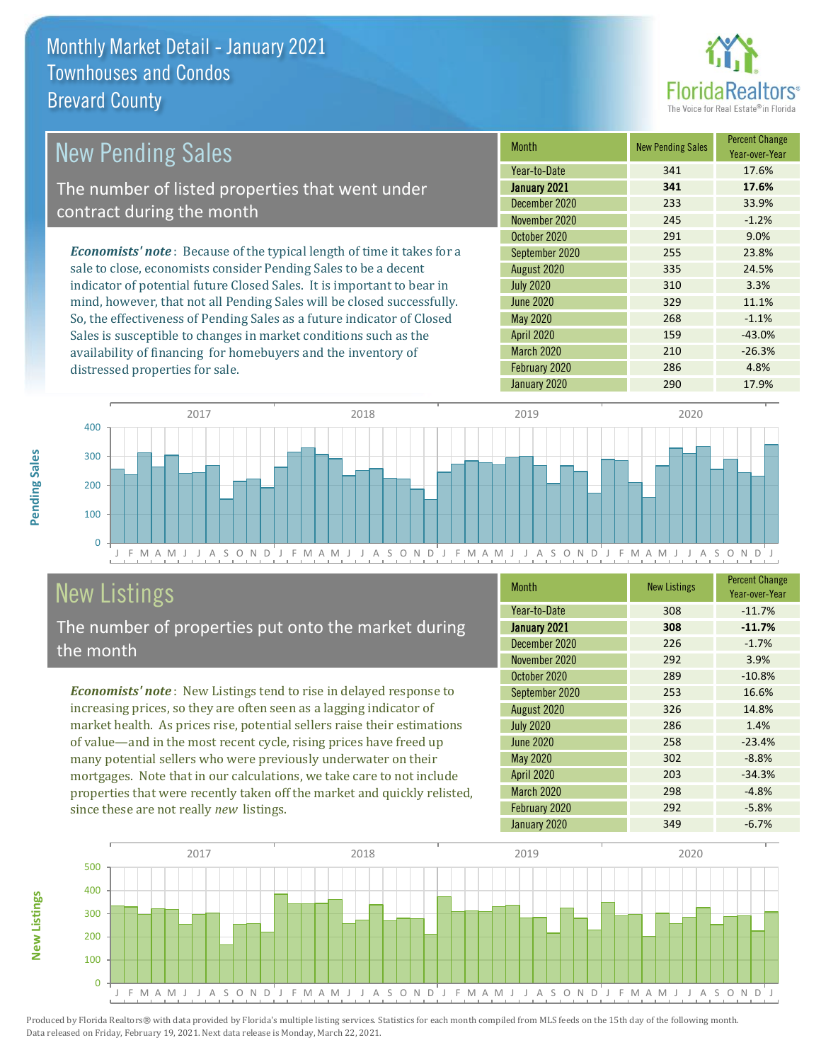

| <b>New Pending Sales</b>                                                       | <b>Month</b>      | <b>New Pending Sales</b> | <b>Percent Change</b><br>Year-over-Year |
|--------------------------------------------------------------------------------|-------------------|--------------------------|-----------------------------------------|
|                                                                                | Year-to-Date      | 341                      | 17.6%                                   |
| The number of listed properties that went under                                | January 2021      | 341                      | 17.6%                                   |
| contract during the month                                                      | December 2020     | 233                      | 33.9%                                   |
|                                                                                | November 2020     | 245                      | $-1.2%$                                 |
|                                                                                | October 2020      | 291                      | 9.0%                                    |
| <b>Economists' note</b> : Because of the typical length of time it takes for a | September 2020    | 255                      | 23.8%                                   |
| sale to close, economists consider Pending Sales to be a decent                | August 2020       | 335                      | 24.5%                                   |
| indicator of potential future Closed Sales. It is important to bear in         | <b>July 2020</b>  | 310                      | 3.3%                                    |
| mind, however, that not all Pending Sales will be closed successfully.         | June 2020         | 329                      | 11.1%                                   |
| So, the effectiveness of Pending Sales as a future indicator of Closed         | May 2020          | 268                      | $-1.1%$                                 |
| Sales is susceptible to changes in market conditions such as the               | <b>April 2020</b> | 159                      | $-43.0%$                                |



# New Listings

distressed properties for sale.

The number of properties put onto the market during the month

availability of financing for homebuyers and the inventory of

*Economists' note* : New Listings tend to rise in delayed response to increasing prices, so they are often seen as a lagging indicator of market health. As prices rise, potential sellers raise their estimations of value—and in the most recent cycle, rising prices have freed up many potential sellers who were previously underwater on their mortgages. Note that in our calculations, we take care to not include properties that were recently taken off the market and quickly relisted, since these are not really *new* listings.

| <b>Month</b>     | <b>New Listings</b> | <b>Percent Change</b><br>Year-over-Year |
|------------------|---------------------|-----------------------------------------|
| Year-to-Date     | 308                 | $-11.7%$                                |
| January 2021     | 308                 | $-11.7%$                                |
| December 2020    | 226                 | $-1.7%$                                 |
| November 2020    | 292                 | 3.9%                                    |
| October 2020     | 289                 | $-10.8%$                                |
| September 2020   | 253                 | 16.6%                                   |
| August 2020      | 326                 | 14.8%                                   |
| <b>July 2020</b> | 286                 | 1.4%                                    |
| <b>June 2020</b> | 258                 | $-23.4%$                                |
| <b>May 2020</b>  | 302                 | $-8.8%$                                 |
| April 2020       | 203                 | $-34.3%$                                |
| March 2020       | 298                 | $-4.8%$                                 |
| February 2020    | 292                 | $-5.8%$                                 |
| January 2020     | 349                 | $-6.7%$                                 |

March 2020 210 210 -26.3% February 2020 286 286 4.8%



Produced by Florida Realtors® with data provided by Florida's multiple listing services. Statistics for each month compiled from MLS feeds on the 15th day of the following month. Data released on Friday, February 19, 2021. Next data release is Monday, March 22, 2021.

**New Listings**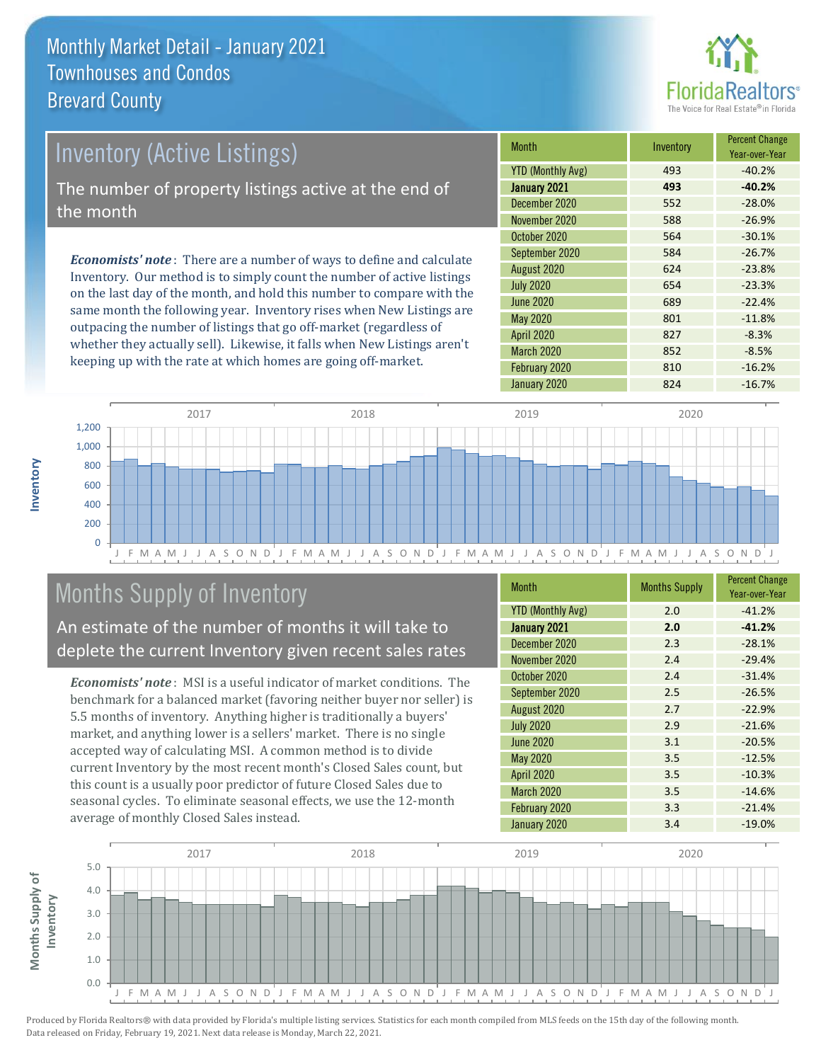

# Inventory (Active Listings) The number of property listings active at the end of the month

*Economists' note* : There are a number of ways to define and calculate Inventory. Our method is to simply count the number of active listings on the last day of the month, and hold this number to compare with the same month the following year. Inventory rises when New Listings are outpacing the number of listings that go off-market (regardless of whether they actually sell). Likewise, it falls when New Listings aren't keeping up with the rate at which homes are going off-market.

| <b>Month</b>             | Inventory | <b>Percent Change</b><br>Year-over-Year |
|--------------------------|-----------|-----------------------------------------|
| <b>YTD (Monthly Avg)</b> | 493       | $-40.2%$                                |
| January 2021             | 493       | $-40.2%$                                |
| December 2020            | 552       | $-28.0%$                                |
| November 2020            | 588       | $-26.9%$                                |
| October 2020             | 564       | $-30.1%$                                |
| September 2020           | 584       | $-26.7%$                                |
| August 2020              | 624       | $-23.8%$                                |
| <b>July 2020</b>         | 654       | $-23.3%$                                |
| June 2020                | 689       | $-22.4%$                                |
| <b>May 2020</b>          | 801       | $-11.8%$                                |
| <b>April 2020</b>        | 827       | $-8.3%$                                 |
| March 2020               | 852       | $-8.5%$                                 |
| February 2020            | 810       | $-16.2%$                                |
| January 2020             | 824       | $-16.7%$                                |



# Months Supply of Inventory

An estimate of the number of months it will take to deplete the current Inventory given recent sales rates

*Economists' note* : MSI is a useful indicator of market conditions. The benchmark for a balanced market (favoring neither buyer nor seller) is 5.5 months of inventory. Anything higher is traditionally a buyers' market, and anything lower is a sellers' market. There is no single accepted way of calculating MSI. A common method is to divide current Inventory by the most recent month's Closed Sales count, but this count is a usually poor predictor of future Closed Sales due to seasonal cycles. To eliminate seasonal effects, we use the 12-month average of monthly Closed Sales instead.

| <b>Month</b>             | <b>Months Supply</b> | <b>Percent Change</b><br>Year-over-Year |
|--------------------------|----------------------|-----------------------------------------|
| <b>YTD (Monthly Avg)</b> | 2.0                  | $-41.2%$                                |
| January 2021             | 2.0                  | $-41.2%$                                |
| December 2020            | 2.3                  | $-28.1%$                                |
| November 2020            | 2.4                  | $-29.4%$                                |
| October 2020             | 2.4                  | $-31.4%$                                |
| September 2020           | 2.5                  | $-26.5%$                                |
| August 2020              | 2.7                  | $-22.9%$                                |
| <b>July 2020</b>         | 2.9                  | $-21.6%$                                |
| <b>June 2020</b>         | 3.1                  | $-20.5%$                                |
| <b>May 2020</b>          | 3.5                  | $-12.5%$                                |
| <b>April 2020</b>        | 3.5                  | $-10.3%$                                |
| March 2020               | 3.5                  | $-14.6%$                                |
| February 2020            | 3.3                  | $-21.4%$                                |
| January 2020             | 3.4                  | $-19.0%$                                |

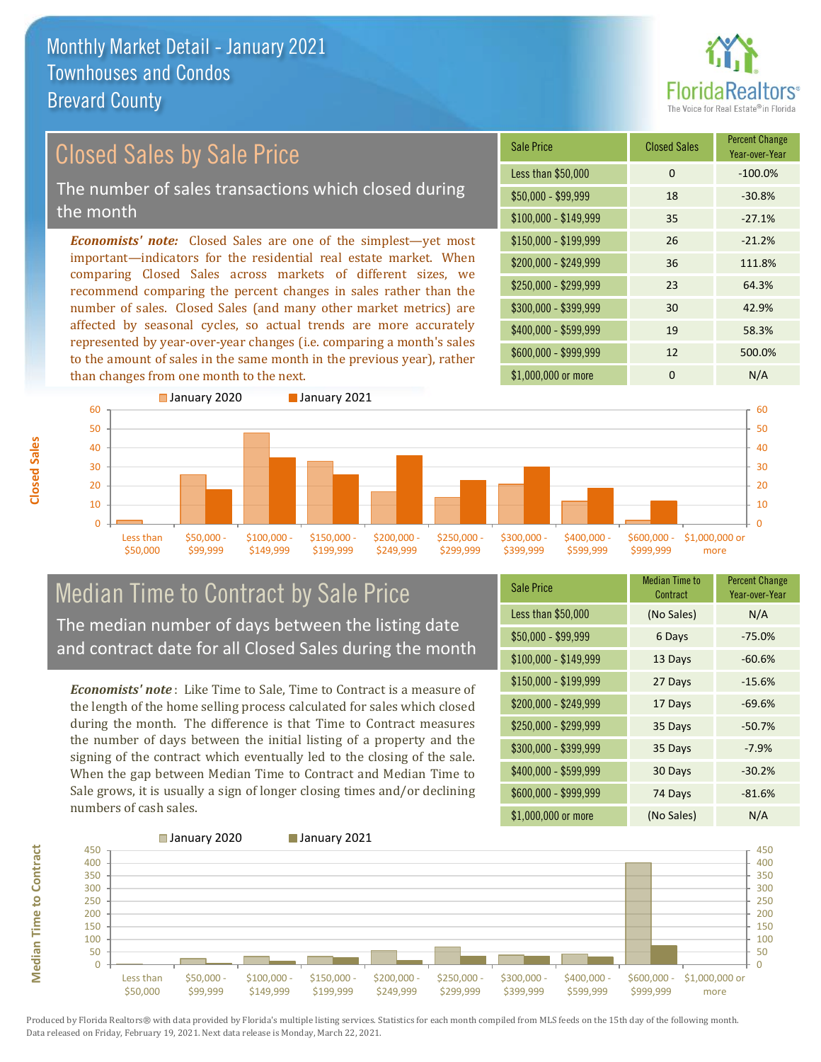than changes from one month to the next.



#### *Economists' note:* Closed Sales are one of the simplest—yet most important—indicators for the residential real estate market. When comparing Closed Sales across markets of different sizes, we recommend comparing the percent changes in sales rather than the number of sales. Closed Sales (and many other market metrics) are affected by seasonal cycles, so actual trends are more accurately represented by year-over-year changes (i.e. comparing a month's sales to the amount of sales in the same month in the previous year), rather \$250,000 - \$299,999 23 64.3% \$300,000 - \$399,999 30 42.9% \$400,000 - \$599,999 19 58.3% \$600,000 - \$999,999 12 500.0% \$150,000 - \$199,999 26 -21.2% \$200,000 - \$249,999 36 111.8%  $$100,000 - $149,999$  35 -27.1% Sale Price Closed Sales Percent Change Year-over-Year Less than \$50,000 0 0 -100.0% \$50,000 - \$99,999 18 -30.8% Closed Sales by Sale Price The number of sales transactions which closed during the month



#### Median Time to Contract by Sale Price The median number of days between the listing date and contract date for all Closed Sales during the month

*Economists' note* : Like Time to Sale, Time to Contract is a measure of the length of the home selling process calculated for sales which closed during the month. The difference is that Time to Contract measures the number of days between the initial listing of a property and the signing of the contract which eventually led to the closing of the sale. When the gap between Median Time to Contract and Median Time to Sale grows, it is usually a sign of longer closing times and/or declining numbers of cash sales.

| <b>Sale Price</b>     | <b>Median Time to</b><br>Contract | <b>Percent Change</b><br>Year-over-Year |
|-----------------------|-----------------------------------|-----------------------------------------|
| Less than \$50,000    | (No Sales)                        | N/A                                     |
| \$50,000 - \$99,999   | 6 Days                            | $-75.0%$                                |
| $$100,000 - $149,999$ | 13 Days                           | $-60.6%$                                |
| $$150,000 - $199,999$ | 27 Days                           | $-15.6%$                                |
| \$200,000 - \$249,999 | 17 Days                           | $-69.6%$                                |
| \$250,000 - \$299,999 | 35 Days                           | $-50.7%$                                |
| \$300,000 - \$399,999 | 35 Days                           | $-7.9%$                                 |
| \$400,000 - \$599,999 | 30 Days                           | $-30.2%$                                |
| \$600,000 - \$999,999 | 74 Days                           | $-81.6%$                                |
| \$1,000,000 or more   | (No Sales)                        | N/A                                     |

\$1,000,000 or more 0 0 N/A

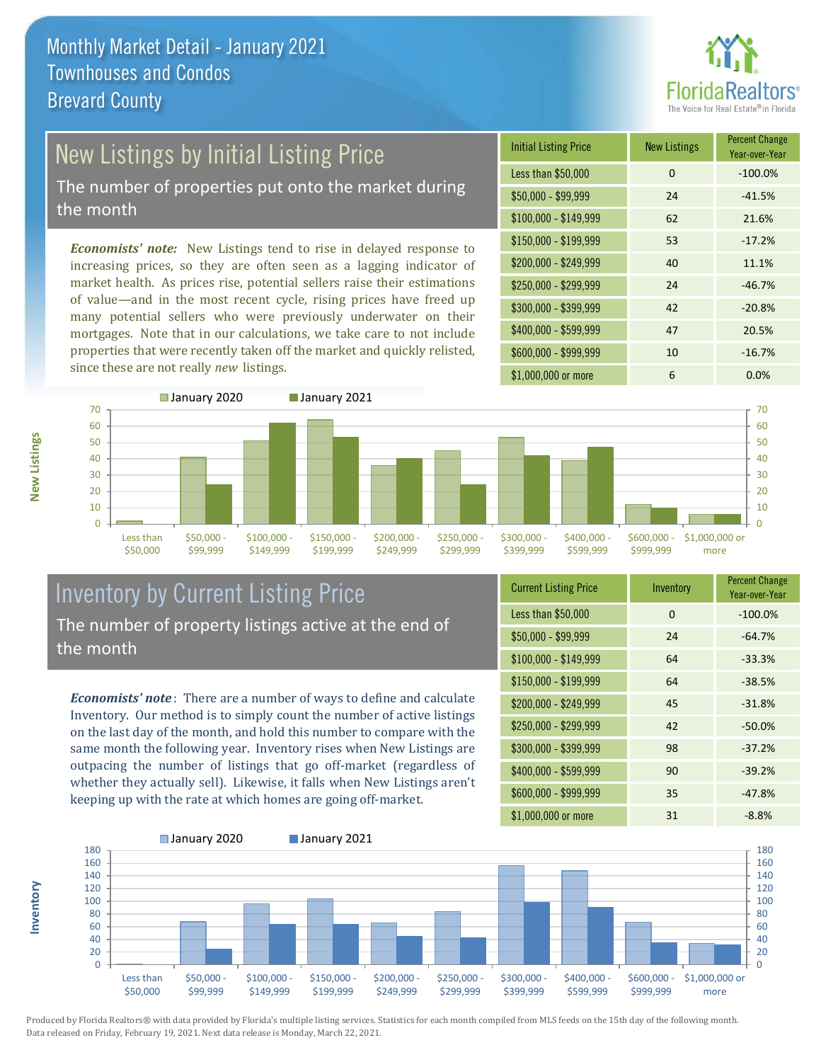

# New Listings by Initial Listing Price

The number of properties put onto the market during the month

*Economists' note:* New Listings tend to rise in delayed response to increasing prices, so they are often seen as a lagging indicator of market health. As prices rise, potential sellers raise their estimations of value—and in the most recent cycle, rising prices have freed up many potential sellers who were previously underwater on their mortgages. Note that in our calculations, we take care to not include properties that were recently taken off the market and quickly relisted, since these are not really *new* listings.





#### Inventory by Current Listing Price The number of property listings active at the end of the month

*Economists' note* : There are a number of ways to define and calculate Inventory. Our method is to simply count the number of active listings on the last day of the month, and hold this number to compare with the same month the following year. Inventory rises when New Listings are outpacing the number of listings that go off-market (regardless of whether they actually sell). Likewise, it falls when New Listings aren't keeping up with the rate at which homes are going off-market.

| <b>Current Listing Price</b> | Inventory | <b>Percent Change</b><br>Year-over-Year |
|------------------------------|-----------|-----------------------------------------|
| Less than \$50,000           | 0         | $-100.0%$                               |
| $$50,000 - $99,999$          | 24        | $-64.7%$                                |
| $$100,000 - $149,999$        | 64        | $-33.3%$                                |
| $$150,000 - $199,999$        | 64        | $-38.5%$                                |
| \$200,000 - \$249,999        | 45        | $-31.8%$                                |
| \$250,000 - \$299,999        | 42        | $-50.0%$                                |
| \$300,000 - \$399,999        | 98        | $-37.2%$                                |
| \$400,000 - \$599,999        | 90        | $-39.2%$                                |
| \$600,000 - \$999,999        | 35        | $-47.8%$                                |
| \$1,000,000 or more          | 31        | $-8.8%$                                 |



Produced by Florida Realtors® with data provided by Florida's multiple listing services. Statistics for each month compiled from MLS feeds on the 15th day of the following month. Data released on Friday, February 19, 2021. Next data release is Monday, March 22, 2021.

**Inventory**